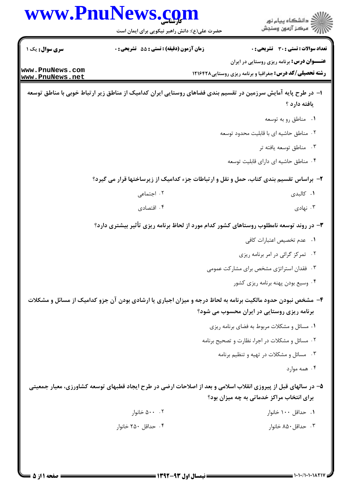|                                    | www.PnuNews.com<br>حضرت علی(ع): دانش راهبر نیکویی برای ایمان است                                               | ڪ دانشڪاه پيا <sub>م</sub> نور<br>∕7 مرڪز آزمون وسنڊش                                                                 |
|------------------------------------|----------------------------------------------------------------------------------------------------------------|-----------------------------------------------------------------------------------------------------------------------|
| <b>سری سوال :</b> یک ۱             | <b>زمان آزمون (دقیقه) : تستی : 55 تشریحی : 0</b>                                                               | تعداد سوالات : تستى : 30 - تشريحي : 0                                                                                 |
| www.PnuNews.com<br>www.PnuNews.net |                                                                                                                | <b>عنــــوان درس:</b> برنامه ریزی روستایی در ایران<br><b>رشته تحصیلی/کد درس:</b> جغرافیا و برنامه ریزی روستایی1۲۱۶۴۲۸ |
|                                    | ا– در طرح پایه آمایش سرزمین در تقسیم بندی فضاهای روستایی ایران کدامیک از مناطق زیر ارتباط خوبی با مناطق توسعه  | يافته دارد ؟                                                                                                          |
|                                    |                                                                                                                | ۰۱ مناطق رو به توسعه                                                                                                  |
|                                    |                                                                                                                | ٢. مناطق حاشيه اي با قابليت محدود توسعه                                                                               |
|                                    |                                                                                                                | ۰۳ مناطق توسعه يافته تر                                                                                               |
|                                    |                                                                                                                | ۰۴ مناطق حاشیه ای دارای قابلیت توسعه                                                                                  |
|                                    | ۲- براساس تقسیم بندی کتاب، حمل و نقل و ارتباطات جزء کدامیک از زیرساختها قرار می گیرد؟                          |                                                                                                                       |
|                                    | ۰۲ اجتماعی                                                                                                     | ۰۱ کالبدی                                                                                                             |
|                                    | ۰۴ اقتصادی                                                                                                     | ۰۳ نهادی                                                                                                              |
|                                    | ۳- در روند توسعه نامطلوب روستاهای کشور کدام مورد از لحاظ برنامه ریزی تأثیر بیشتری دارد؟                        |                                                                                                                       |
|                                    |                                                                                                                | ٠١ عدم تخصيص اعتبارات كافي                                                                                            |
|                                    |                                                                                                                | ۰۲ تمرکز گرائی در امر برنامه ریزی                                                                                     |
|                                    |                                                                                                                | ۰۳ فقدان استراتژی مشخص برای مشارکت عمومی                                                                              |
|                                    |                                                                                                                | ۰۴ وسیع بودن پهنه برنامه ریزی کشور                                                                                    |
|                                    | ۴- مشخص نبودن حدود مالکیت برنامه به لحاظ درجه و میزان اجباری یا ارشادی بودن آن جزو کدامیک از مسائل و مشکلات    |                                                                                                                       |
|                                    |                                                                                                                | برنامه ریزی روستایی در ایران محسوب می شود؟                                                                            |
|                                    |                                                                                                                | ٠١ مسائل و مشكلات مربوط به فضاى برنامه ريزى                                                                           |
|                                    |                                                                                                                | ٠٢ مسائل و مشكلات در اجرا، نظارت و تصحيح برنامه                                                                       |
|                                    |                                                                                                                | ۰۳ مسائل و مشکلات در تهیه و تنظیم برنامه                                                                              |
|                                    |                                                                                                                | ۰۴ همه موارد                                                                                                          |
|                                    | ۵– در سالهای قبل از پیروزی انقلاب اسلامی و بعد از اصلاحات ارضی در طرح ایجاد قطبهای توسعه کشاورزی، معیار جمعیتی | برای انتخاب مراکز خدماتی به چه میزان بود؟                                                                             |
|                                    | ۰۰ ۵۰۰ خانوار                                                                                                  | ۰۱ حداقل ۱۰۰ خانوار                                                                                                   |
|                                    | ۰۴ حداقل ۲۵۰ خانوار                                                                                            | ۰۳ حداقل ۸۵۰ خانوار                                                                                                   |
|                                    |                                                                                                                |                                                                                                                       |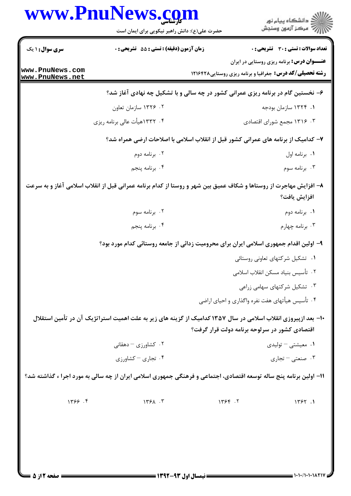|                                    | حضرت علی(ع): دانش راهبر نیکویی برای ایمان است                                                                      |                                                                                    | ڪ دانشڪاه پيام نور<br>7- مرڪز آزمون وسنڊش         |
|------------------------------------|--------------------------------------------------------------------------------------------------------------------|------------------------------------------------------------------------------------|---------------------------------------------------|
| سری سوال: ۱ یک                     | <b>زمان آزمون (دقیقه) : تستی : 55 تشریحی : 0</b>                                                                   |                                                                                    | تعداد سوالات : تستي : 30 - تشريحي : 0             |
| www.PnuNews.com<br>www.PnuNews.net |                                                                                                                    | <b>رشته تحصیلی/کد درس:</b> جغرافیا و برنامه ریزی روستایی1۲۱۶۴۲۸                    | <b>عنـــوان درس:</b> برنامه ریزی روستایی در ایران |
|                                    |                                                                                                                    | ۶- نخستین گام در برنامه ریزی عمرانی کشور در چه سالی و با تشکیل چه نهادی آغاز شد؟   |                                                   |
|                                    | ۰۲ ۱۳۲۶ سازمان تعاون                                                                                               |                                                                                    | ۰۱ ۱۳۲۴ سازمان بودجه                              |
|                                    | ۰۴ ۱۳۳۲هیأت عالی برنامه ریزی                                                                                       |                                                                                    | ۰۳ ۱۳۱۶ مجمع شورای اقتصادی                        |
|                                    |                                                                                                                    | ۷– کدامیک از برنامه های عمرانی کشور قبل از انقلاب اسلامی با اصلاحات ارضی همراه شد؟ |                                                   |
|                                    | ۰۲ برنامه دوم                                                                                                      |                                                                                    | ٠١. برنامه اول                                    |
|                                    | ۰۴ برنامه پنجم                                                                                                     |                                                                                    | ۰۳ برنامه سوم                                     |
|                                    | ۸– افزایش مهاجرت از روستاها و شکاف عمیق بین شهر و روستا از کدام برنامه عمرانی قبل از انقلاب اسلامی آغاز و به سرعت  |                                                                                    | افزايش يافت؟                                      |
|                                    | ۰۲ برنامه سوم                                                                                                      |                                                                                    | ٠١. برنامه دوم                                    |
|                                    | ۰۴ برنامه پنجم                                                                                                     |                                                                                    | ۰۳ برنامه چهارم                                   |
|                                    | ۹– اولین اقدام جمهوری اسلامی ایران برای محرومیت زدائی از جامعه روستائی کدام مورد بود؟                              |                                                                                    |                                                   |
|                                    |                                                                                                                    |                                                                                    | ۰۱ تشکیل شرکتهای تعاونی روستائی                   |
|                                    |                                                                                                                    |                                                                                    | ٠٢ تأسيس بنياد مسكن انقلاب اسلامي                 |
|                                    |                                                                                                                    |                                                                                    | ۰۳ تشکیل شرکتهای سهامی زراعی                      |
|                                    |                                                                                                                    | ۰۴ تأسیس هیأتهای هفت نفره واگذاری و احیای اراضی                                    |                                                   |
|                                    | ۱۰− بعد ازپیروزی انقلاب اسلامی در سال ۱۳۵۷ کدامیک از گزینه های زیر به علت اهمیت استراتژیک آن در تأمین استقلال      |                                                                                    |                                                   |
|                                    |                                                                                                                    | اقتصادی کشور در سرلوحه برنامه دولت قرار گرفت؟                                      |                                                   |
|                                    | ۰۲ کشاورزی – دهقانی                                                                                                |                                                                                    | ۰۱ معیشتی – تولیدی                                |
|                                    | ۰۴ تجاری - کشاورزی                                                                                                 |                                                                                    | ۰۳ صنعتی – تجاری                                  |
|                                    | 11- اولین برنامه پنج ساله توسعه اقتصادی، اجتماعی و فرهنگی جمهوری اسلامی ایران از چه سالی به مورد اجرا ء گذاشته شد؟ |                                                                                    |                                                   |
| 1799.9                             | 1791.7                                                                                                             | 1799.7                                                                             | 1757.1                                            |
|                                    |                                                                                                                    |                                                                                    |                                                   |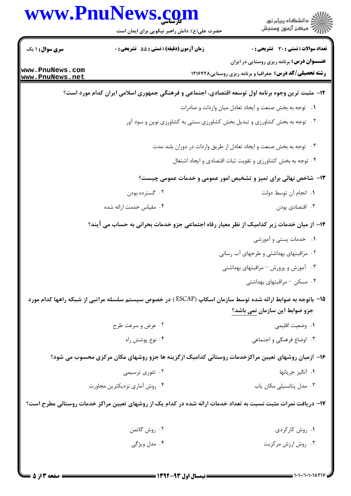| <b>سری سوال :</b> ۱ یک<br>www.PnuNews.com<br>www.PnuNews.net | حضرت علی(ع): دانش راهبر نیکویی برای ایمان است<br><b>زمان آزمون (دقیقه) : تستی : 55 تشریحی : 0</b> | ر<br>دانشڪاه پيام نور)<br>ا∛ مرڪز آزمون وسنڊش<br><b>تعداد سوالات : تستی : 30 ٪ تشریحی : 0</b><br><b>عنـــوان درس:</b> برنامه ریزی روستایی در ایران<br><b>رشته تحصیلی/کد درس:</b> جغرافیا و برنامه ریزی روستایی ۱۲۱۶۴۲۸ |
|--------------------------------------------------------------|---------------------------------------------------------------------------------------------------|------------------------------------------------------------------------------------------------------------------------------------------------------------------------------------------------------------------------|
|                                                              |                                                                                                   |                                                                                                                                                                                                                        |
|                                                              |                                                                                                   |                                                                                                                                                                                                                        |
|                                                              |                                                                                                   |                                                                                                                                                                                                                        |
|                                                              |                                                                                                   | ۱۲- مثبت ترین وجوه برنامه اول توسعه اقتصادی، اجتماعی و فرهنگی جمهوری اسلامی ایران کدام مورد است؟                                                                                                                       |
|                                                              |                                                                                                   | ۰۱ توجه به بخش صنعت و ایجاد تعادل میان واردات و صادرات                                                                                                                                                                 |
|                                                              |                                                                                                   | ۰۲ توجه به بخش کشاورزی و تبدیل بخش کشاورزی سنتی به کشاورزی نوین و سود آور                                                                                                                                              |
|                                                              |                                                                                                   | ۰۳ توجه به بخش صنعت و ایجاد تعادل از طریق واردات در دوران بلند مدت                                                                                                                                                     |
|                                                              |                                                                                                   | ۰۴ توجه به بخش کشاورزی و تقویت ثبات اقتصادی و ایجاد اشتغال                                                                                                                                                             |
|                                                              |                                                                                                   | ۱۳- شاخص نهائی برای تمیز و تشخیص امور عمومی و خدمات عمومی چیست؟                                                                                                                                                        |
|                                                              | ۰۲ گسترده بودن                                                                                    | ٠١. انجام آن توسط دولت                                                                                                                                                                                                 |
|                                                              | ۰۴ مقیاس خدمت ارائه شده                                                                           | ۰۳ اقتصادی بودن                                                                                                                                                                                                        |
|                                                              |                                                                                                   | ۱۴– از میان خدمات زیر کدامیک از نظر معیار رفاه اجتماعی جزو خدمات بحرانی به حساب می آیند؟                                                                                                                               |
|                                                              |                                                                                                   | ۰۱ خدمات پستی و آموزشی                                                                                                                                                                                                 |
|                                                              |                                                                                                   | ۰۲ مراقبتهای بهداشتی و طرحهای آب رسانی                                                                                                                                                                                 |
|                                                              |                                                                                                   | ۰۳ آموزش و پرورش $-$ مراقبتهای بهداشتی                                                                                                                                                                                 |
|                                                              |                                                                                                   | ۰۴ مسکن – مراقبتهای بهداشتی                                                                                                                                                                                            |
|                                                              |                                                                                                   | ۱۵− باتوجه به ضوابط ارائه شده توسط سازمان اسکاپ (ESCAP ) در خصوص سیستم سلسله مراتبی از شبکه راهها کدام مورد                                                                                                            |
|                                                              |                                                                                                   | جزو ضوابط این سازمان نمی باشد؟                                                                                                                                                                                         |
|                                                              | ۰۲ عرض و سرعت طرح                                                                                 | ۰۱ وضعیت اقلیمی                                                                                                                                                                                                        |
|                                                              | ۰۴ نوع پوشش راه                                                                                   | ۰۳ اوضاع فرهنگی و اجتماعی                                                                                                                                                                                              |
|                                                              |                                                                                                   | ۱۶– ازمیان روشهای تعیین مراکزخدمات روستائی کدامیک ازگزینه ها جزو روشهای مکان مرکزی محسوب می شود؟                                                                                                                       |
|                                                              | ۰۲ تئوری ترسیمی                                                                                   | ٠١ آناليز جريانها                                                                                                                                                                                                      |
|                                                              | ۰۴ روش آماری نزدیکترین مجاورت                                                                     | ۰۳ مدل پتانسیلی مکان یاب                                                                                                                                                                                               |
|                                                              |                                                                                                   | ۱۷– دریافت نمرات مثبت نسبت به تعداد خدمات ارائه شده در کدام یک از روشهای تعیین مراکز خدمات روستائی مطرح است؟                                                                                                           |
|                                                              | ۰۲ روش گاتمن                                                                                      | ۰۱ روش کارکردی                                                                                                                                                                                                         |
|                                                              | ۰۴ مدل ویژگی                                                                                      | ۰۳ روش ارزش مرکزیت                                                                                                                                                                                                     |

 $= 1.11/1.1.1$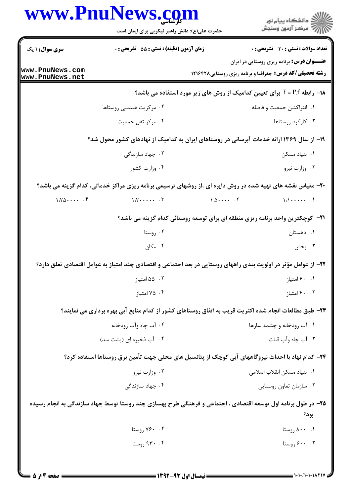|                                    | حضرت علی(ع): دانش راهبر نیکویی برای ایمان است      |                                                                                                                      | ڪ دانشڪاه پيام نور<br>۾ سرڪز آزمون وسنڊش                        |
|------------------------------------|----------------------------------------------------|----------------------------------------------------------------------------------------------------------------------|-----------------------------------------------------------------|
| <b>سری سوال : ۱ یک</b>             | زمان آزمون (دقيقه) : تستى : 55 تشريحى : 0          |                                                                                                                      | <b>تعداد سوالات : تستی : 30 ٪ تشریحی : 0</b>                    |
| www.PnuNews.com<br>www.PnuNews.net |                                                    | <b>عنـــوان درس:</b> برنامه ریزی روستایی در ایران<br><b>رشته تحصیلی/کد درس:</b> جغرافیا و برنامه ریزی روستایی۱۲۱۶۴۲۸ |                                                                 |
|                                    |                                                    | ۱۸− رابطه F = P.f برای تعیین کدامیک از روش های زیر مورد استفاده می باشد؟                                             |                                                                 |
|                                    | ۰۲ مرکزیت هندسی روستاها                            |                                                                                                                      | ۰۱ انتراکشن جمعیت و فاصله                                       |
|                                    | ۰۴ مرکز ثقل جمعیت                                  |                                                                                                                      | ۰۳ کارکرد روستاها                                               |
|                                    |                                                    | ۱۹– از سال ۱۳۶۹ ارائه خدمات آبرسانی در روستاهای ایران به کدامیک از نهادهای کشور محول شد؟                             |                                                                 |
|                                    | ۰۲ جهاد سازندگی                                    |                                                                                                                      | ۰۱ بنیاد مسکن                                                   |
|                                    | ۰۴ وزارت کشور                                      |                                                                                                                      | ۰۳ وزارت نيرو                                                   |
|                                    |                                                    | +۲- مقیاس نقشه های تهیه شده در روش دایره ای ،از روشهای ترسیمی برنامه ریزی مراکز خدماتی، کدام گزینه می باشد؟          |                                                                 |
| $1:Y_0 \cdots Y_n$                 | $\mathcal{N}: \mathcal{N} \rightarrow \mathcal{N}$ | $1:\Delta \cdot \cdot \cdot \cdot$ . T                                                                               | $\setminus$ \:\ $\cdot \cdot \cdot \cdot \cdot \cdot \cdot$ \.\ |
|                                    |                                                    | <b>۲۱</b> - کوچکترین واحد برنامه ریزی منطقه ای برای توسعه روستائی کدام گزینه می باشد؟                                |                                                                 |
|                                    | ۰۲ روستا                                           |                                                                                                                      | ۰۱ دهستان                                                       |
|                                    | ۰۴ مکان                                            |                                                                                                                      | ۰۳ بخش                                                          |
|                                    |                                                    | ۲۲– از عوامل مؤثر در اولویت بندی راههای روستایی در بعد اجتماعی و اقتصادی چند امتیاز به عوامل اقتصادی تعلق دارد؟      |                                                                 |
|                                    | ۰۲ ۵۵ امتياز                                       |                                                                                                                      | ٠. ۶۰ امتياز                                                    |
|                                    | ۰۴ متياز                                           |                                                                                                                      | ۰. ۴۰ امتياز                                                    |
|                                    |                                                    | ۲۳- طبق مطالعات انجام شده اکثریت قریب به اتفاق روستاهای کشور از کدام منابع آبی بهره برداری می نمایند؟                |                                                                 |
|                                    | ۰۲ آب چاه وآب رودخانه                              | ۰۱ آب رودخانه و چشمه سارها                                                                                           |                                                                 |
|                                    | ۰۴ آب ذخیره ای (پشت سد)                            |                                                                                                                      | ۰۳ آب چاه وآب قنات                                              |
|                                    |                                                    | ۲۴– کدام نهاد با احداث نیروگاههای آبی کوچک از پتانسیل های محلی جهت تأمین برق روستاها استفاده کرد؟                    |                                                                 |
|                                    | ۰۲ وزارت نیرو                                      | ٠١. بنياد مسكن انقلاب اسلامى                                                                                         |                                                                 |
|                                    | ۰۴ جهاد سازندگی                                    |                                                                                                                      | ۰۳ سازمان تعاون روستايي                                         |
|                                    |                                                    | ۲۵- در طول برنامه اول توسعه اقتصادی ، اجتماعی و فرهنگی طرح بهسازی چند روستا توسط جهاد سازندگی به انجام رسیده         | بود؟                                                            |
|                                    | ۰۲ روستا                                           |                                                                                                                      | ۰۰ ۸۰۰ روستا                                                    |
|                                    | ۹۳۰ .۴ روستا                                       |                                                                                                                      | ۰۰ . ۶۰۰ روستا                                                  |